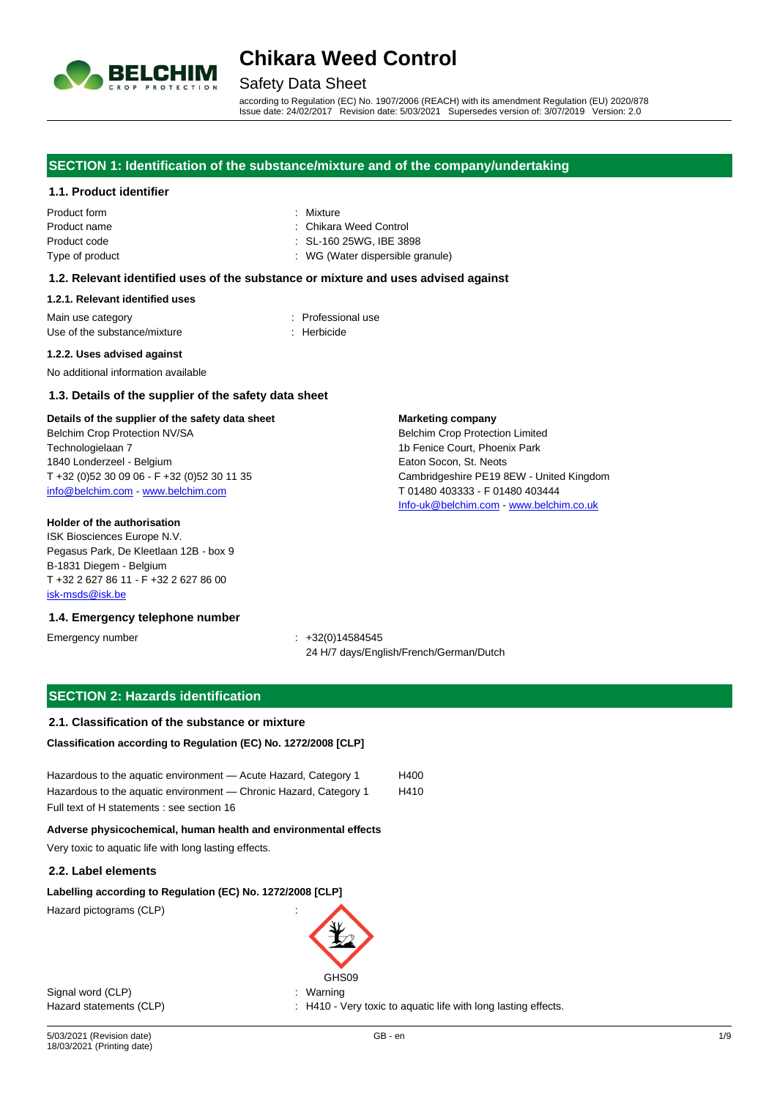

## Safety Data Sheet

according to Regulation (EC) No. 1907/2006 (REACH) with its amendment Regulation (EU) 2020/878 Issue date: 24/02/2017 Revision date: 5/03/2021 Supersedes version of: 3/07/2019 Version: 2.0

**Marketing company**

Belchim Crop Protection Limited 1b Fenice Court, Phoenix Park Eaton Socon, St. Neots

T 01480 403333 - F 01480 403444 [Info-uk@belchim.com](mailto:Info-uk@belchim.com) - [www.belchim.co.uk](file:///C:/Users/ColsonE/AppData/Local/Temp/50/www.belchim.co.uk)

Cambridgeshire PE19 8EW - United Kingdom

#### **SECTION 1: Identification of the substance/mixture and of the company/undertaking**

#### **1.1. Product identifier**

| <b>Product form</b> |
|---------------------|
| Product name        |
| Product code        |
| Type of product     |

: Mixture **Chikara Weed Control** : SL-160 25WG, IBE 3898 : WG (Water dispersible granule)

### **1.2. Relevant identified uses of the substance or mixture and uses advised against**

#### **1.2.1. Relevant identified uses**

Main use category **interest and the COV** method of the Professional use Use of the substance/mixture : Herbicide : Herbicide

#### **1.2.2. Uses advised against**

No additional information available

#### **1.3. Details of the supplier of the safety data sheet**

#### **Details of the supplier of the safety data sheet**

Belchim Crop Protection NV/SA Technologielaan 7 1840 Londerzeel - Belgium T +32 (0)52 30 09 06 - F +32 (0)52 30 11 35 [info@belchim.com](mailto:info@belchim.com) - [www.belchim.com](file:///C:/Users/ColsonE/AppData/Local/Temp/50/www.belchim.com)

#### **Holder of the authorisation**

ISK Biosciences Europe N.V. Pegasus Park, De Kleetlaan 12B - box 9 B-1831 Diegem - Belgium T +32 2 627 86 11 - F +32 2 627 86 00 [isk-msds@isk.be](mailto:isk-msds@isk.be)

#### **1.4. Emergency telephone number**

Emergency number : +32(0)14584545 24 H/7 days/English/French/German/Dutch

#### **SECTION 2: Hazards identification**

#### **2.1. Classification of the substance or mixture**

#### **Classification according to Regulation (EC) No. 1272/2008 [CLP]**

Hazardous to the aquatic environment - Acute Hazard, Category 1 H400 Hazardous to the aquatic environment - Chronic Hazard, Category 1 H410 Full text of H statements : see section 16

#### **Adverse physicochemical, human health and environmental effects**

Very toxic to aquatic life with long lasting effects.

#### **2.2. Label elements**

#### **Labelling according to Regulation (EC) No. 1272/2008 [CLP]**

Hazard pictograms (CLP) :



Signal word (CLP)  $\qquad \qquad$ : Warning

Hazard statements (CLP) : H410 - Very toxic to aquatic life with long lasting effects.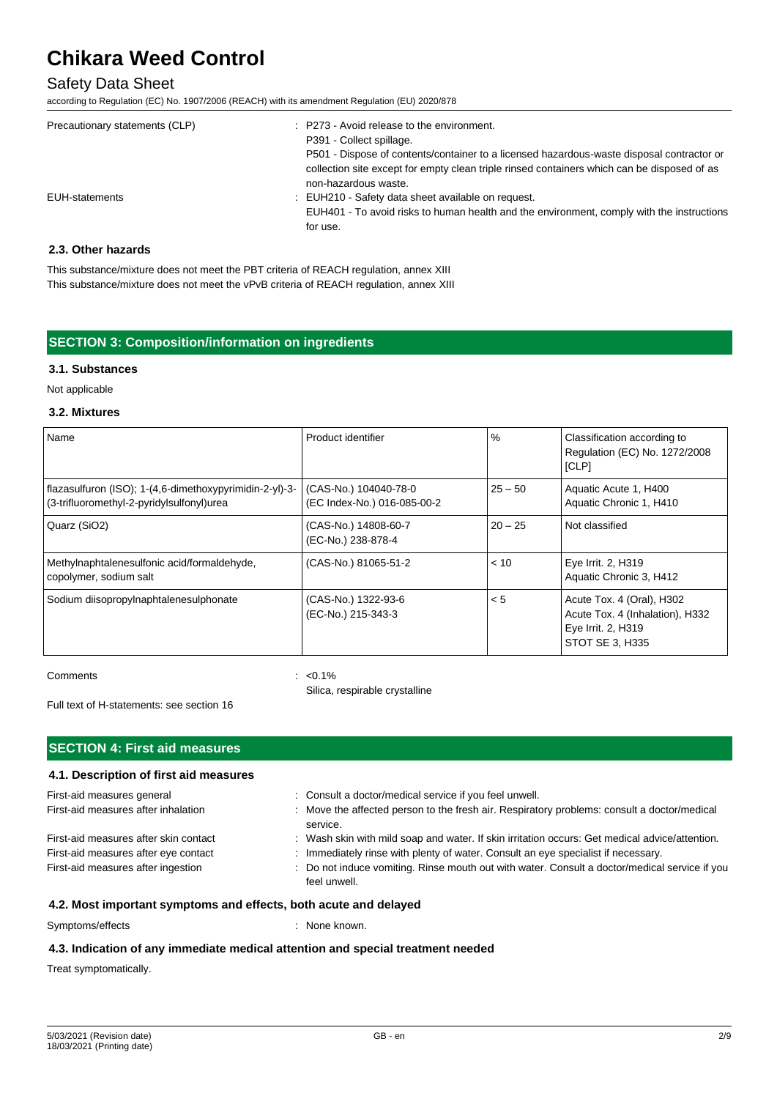### Safety Data Sheet

according to Regulation (EC) No. 1907/2006 (REACH) with its amendment Regulation (EU) 2020/878

| Precautionary statements (CLP) | : P273 - Avoid release to the environment.<br>P391 - Collect spillage.<br>P501 - Dispose of contents/container to a licensed hazardous-waste disposal contractor or<br>collection site except for empty clean triple rinsed containers which can be disposed of as<br>non-hazardous waste. |
|--------------------------------|--------------------------------------------------------------------------------------------------------------------------------------------------------------------------------------------------------------------------------------------------------------------------------------------|
| EUH-statements                 | : EUH210 - Safety data sheet available on request.<br>EUH401 - To avoid risks to human health and the environment, comply with the instructions<br>for use.                                                                                                                                |

#### **2.3. Other hazards**

This substance/mixture does not meet the PBT criteria of REACH regulation, annex XIII This substance/mixture does not meet the vPvB criteria of REACH regulation, annex XIII

### **SECTION 3: Composition/information on ingredients**

#### **3.1. Substances**

Not applicable

#### **3.2. Mixtures**

| Name                                                                                                 | Product identifier                                   | %         | Classification according to<br>Regulation (EC) No. 1272/2008<br>[CLP]                                 |
|------------------------------------------------------------------------------------------------------|------------------------------------------------------|-----------|-------------------------------------------------------------------------------------------------------|
| flazasulfuron (ISO); 1-(4,6-dimethoxypyrimidin-2-yl)-3-<br>(3-trifluoromethyl-2-pyridylsulfonyl)urea | (CAS-No.) 104040-78-0<br>(EC Index-No.) 016-085-00-2 | $25 - 50$ | Aquatic Acute 1, H400<br>Aquatic Chronic 1, H410                                                      |
| Quarz (SiO2)                                                                                         | (CAS-No.) 14808-60-7<br>(EC-No.) 238-878-4           | $20 - 25$ | Not classified                                                                                        |
| Methylnaphtalenesulfonic acid/formaldehyde,<br>copolymer, sodium salt                                | (CAS-No.) 81065-51-2                                 | < 10      | Eye Irrit. 2, H319<br>Aquatic Chronic 3, H412                                                         |
| Sodium diisopropylnaphtalenesulphonate                                                               | (CAS-No.) 1322-93-6<br>(EC-No.) 215-343-3            | < 5       | Acute Tox. 4 (Oral), H302<br>Acute Tox. 4 (Inhalation), H332<br>Eye Irrit. 2, H319<br>STOT SE 3, H335 |

Comments : <0.1%

Silica, respirable crystalline

Full text of H-statements: see section 16

#### **SECTION 4: First aid measures**

# **4.1. Description of first aid measures**

| First-aid measures general<br>First-aid measures after inhalation                                                   | : Consult a doctor/medical service if you feel unwell.<br>: Move the affected person to the fresh air. Respiratory problems: consult a doctor/medical<br>service.                                                                                                                                    |
|---------------------------------------------------------------------------------------------------------------------|------------------------------------------------------------------------------------------------------------------------------------------------------------------------------------------------------------------------------------------------------------------------------------------------------|
| First-aid measures after skin contact<br>First-aid measures after eye contact<br>First-aid measures after ingestion | : Wash skin with mild soap and water. If skin irritation occurs: Get medical advice/attention.<br>: Immediately rinse with plenty of water. Consult an eye specialist if necessary.<br>: Do not induce vomiting. Rinse mouth out with water. Consult a doctor/medical service if you<br>feel unwell. |

### **4.2. Most important symptoms and effects, both acute and delayed**

Symptoms/effects : None known.

# **4.3. Indication of any immediate medical attention and special treatment needed**

Treat symptomatically.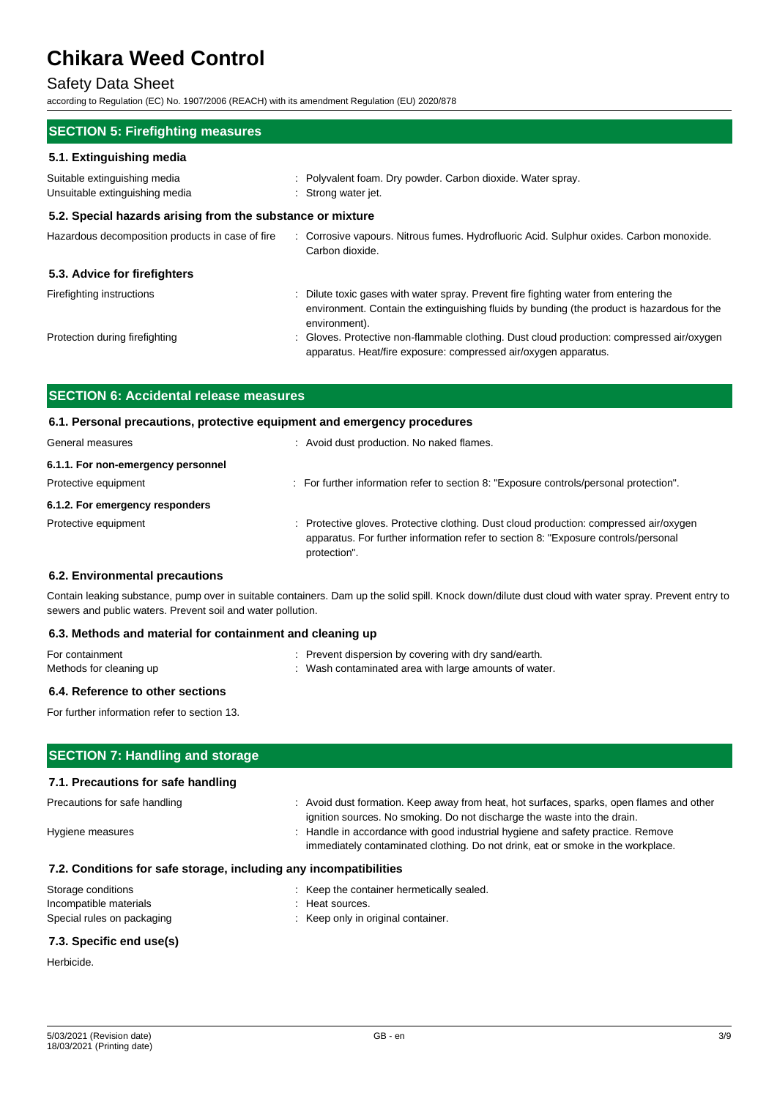# Safety Data Sheet

according to Regulation (EC) No. 1907/2006 (REACH) with its amendment Regulation (EU) 2020/878

| <b>SECTION 5: Firefighting measures</b>                                                                                                                                                             |  |  |  |  |  |
|-----------------------------------------------------------------------------------------------------------------------------------------------------------------------------------------------------|--|--|--|--|--|
|                                                                                                                                                                                                     |  |  |  |  |  |
| : Polyvalent foam. Dry powder. Carbon dioxide. Water spray.<br>: Strong water jet.                                                                                                                  |  |  |  |  |  |
| 5.2. Special hazards arising from the substance or mixture                                                                                                                                          |  |  |  |  |  |
| : Corrosive vapours. Nitrous fumes. Hydrofluoric Acid. Sulphur oxides. Carbon monoxide.<br>Carbon dioxide.                                                                                          |  |  |  |  |  |
|                                                                                                                                                                                                     |  |  |  |  |  |
| : Dilute toxic gases with water spray. Prevent fire fighting water from entering the<br>environment. Contain the extinguishing fluids by bunding (the product is hazardous for the<br>environment). |  |  |  |  |  |
| : Gloves. Protective non-flammable clothing. Dust cloud production: compressed air/oxygen<br>apparatus. Heat/fire exposure: compressed air/oxygen apparatus.                                        |  |  |  |  |  |
|                                                                                                                                                                                                     |  |  |  |  |  |

| <b>SECTION 6: Accidental release measures</b><br>6.1. Personal precautions, protective equipment and emergency procedures |                                                                                                                                                                                              |  |  |  |
|---------------------------------------------------------------------------------------------------------------------------|----------------------------------------------------------------------------------------------------------------------------------------------------------------------------------------------|--|--|--|
|                                                                                                                           |                                                                                                                                                                                              |  |  |  |
| 6.1.1. For non-emergency personnel                                                                                        |                                                                                                                                                                                              |  |  |  |
| Protective equipment                                                                                                      | : For further information refer to section 8: "Exposure controls/personal protection".                                                                                                       |  |  |  |
| 6.1.2. For emergency responders                                                                                           |                                                                                                                                                                                              |  |  |  |
| Protective equipment                                                                                                      | : Protective gloves. Protective clothing. Dust cloud production: compressed air/oxygen<br>apparatus. For further information refer to section 8: "Exposure controls/personal<br>protection". |  |  |  |

#### **6.2. Environmental precautions**

Contain leaking substance, pump over in suitable containers. Dam up the solid spill. Knock down/dilute dust cloud with water spray. Prevent entry to sewers and public waters. Prevent soil and water pollution.

#### **6.3. Methods and material for containment and cleaning up**

| For containment         | : Prevent dispersion by covering with dry sand/earth. |
|-------------------------|-------------------------------------------------------|
| Methods for cleaning up | Wash contaminated area with large amounts of water.   |

### **6.4. Reference to other sections**

For further information refer to section 13.

| <b>SECTION 7: Handling and storage</b>                            |                                                                                                                                                                      |  |  |  |
|-------------------------------------------------------------------|----------------------------------------------------------------------------------------------------------------------------------------------------------------------|--|--|--|
| 7.1. Precautions for safe handling                                |                                                                                                                                                                      |  |  |  |
| Precautions for safe handling                                     | : Avoid dust formation. Keep away from heat, hot surfaces, sparks, open flames and other<br>ignition sources. No smoking. Do not discharge the waste into the drain. |  |  |  |
| Hygiene measures                                                  | : Handle in accordance with good industrial hygiene and safety practice. Remove<br>immediately contaminated clothing. Do not drink, eat or smoke in the workplace.   |  |  |  |
| 7.2. Conditions for safe storage, including any incompatibilities |                                                                                                                                                                      |  |  |  |
| Storage conditions                                                | : Keep the container hermetically sealed.                                                                                                                            |  |  |  |
| Incompatible materials                                            | : Heat sources.                                                                                                                                                      |  |  |  |
| Special rules on packaging                                        | : Keep only in original container.                                                                                                                                   |  |  |  |
|                                                                   |                                                                                                                                                                      |  |  |  |

#### **7.3. Specific end use(s)**

Herbicide.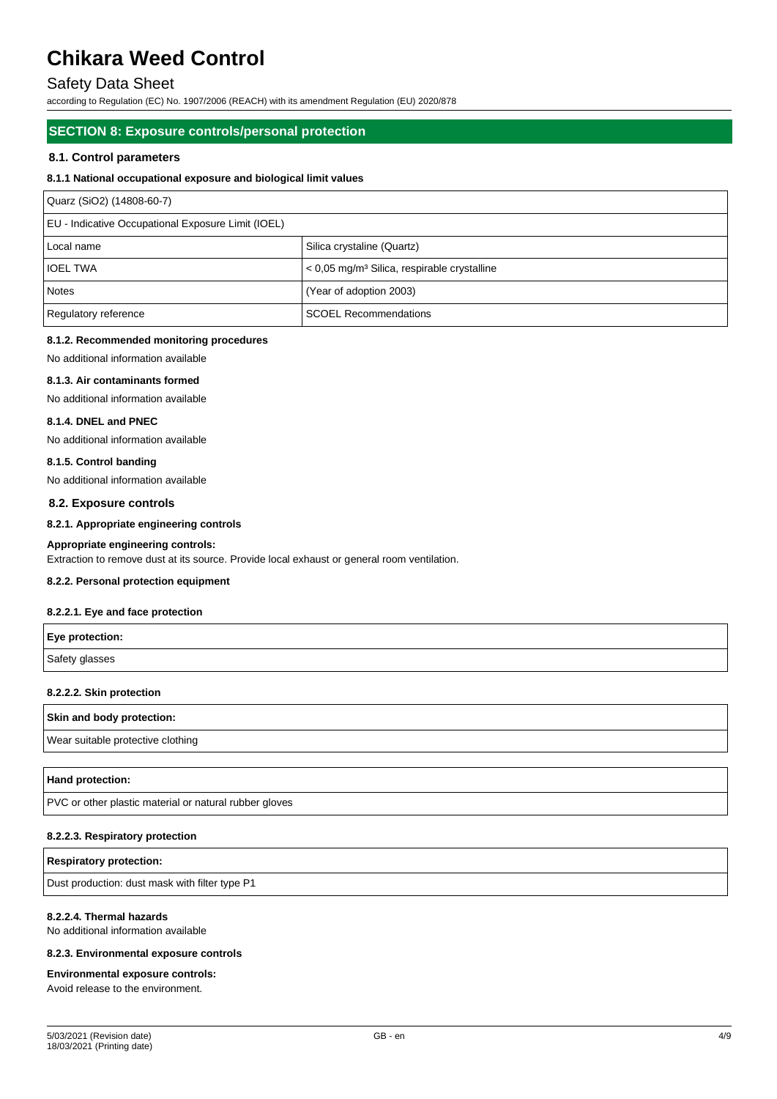# Safety Data Sheet

according to Regulation (EC) No. 1907/2006 (REACH) with its amendment Regulation (EU) 2020/878

#### **SECTION 8: Exposure controls/personal protection**

#### **8.1. Control parameters**

#### **8.1.1 National occupational exposure and biological limit values**

| Quarz (SiO2) (14808-60-7)                          |                                                           |  |  |  |
|----------------------------------------------------|-----------------------------------------------------------|--|--|--|
| EU - Indicative Occupational Exposure Limit (IOEL) |                                                           |  |  |  |
| l Local name                                       | Silica crystaline (Quartz)                                |  |  |  |
| <b>IOEL TWA</b>                                    | $<$ 0,05 mg/m <sup>3</sup> Silica, respirable crystalline |  |  |  |
| <b>Notes</b>                                       | (Year of adoption 2003)                                   |  |  |  |
| Regulatory reference                               | <b>SCOEL Recommendations</b>                              |  |  |  |

#### **8.1.2. Recommended monitoring procedures**

No additional information available

#### **8.1.3. Air contaminants formed**

No additional information available

#### **8.1.4. DNEL and PNEC**

No additional information available

#### **8.1.5. Control banding**

No additional information available

#### **8.2. Exposure controls**

#### **8.2.1. Appropriate engineering controls**

**Appropriate engineering controls:** Extraction to remove dust at its source. Provide local exhaust or general room ventilation.

#### **8.2.2. Personal protection equipment**

#### **8.2.2.1. Eye and face protection**

| Eye protection: |  |
|-----------------|--|
| Safety glasses  |  |

#### **8.2.2.2. Skin protection**

| Skin and body protection: |  |  |  |
|---------------------------|--|--|--|
|                           |  |  |  |

Wear suitable protective clothing

#### **Hand protection:**

PVC or other plastic material or natural rubber gloves

#### **8.2.2.3. Respiratory protection**

# **Respiratory protection:**

Dust production: dust mask with filter type P1

#### **8.2.2.4. Thermal hazards**

No additional information available

#### **8.2.3. Environmental exposure controls**

#### **Environmental exposure controls:**

Avoid release to the environment.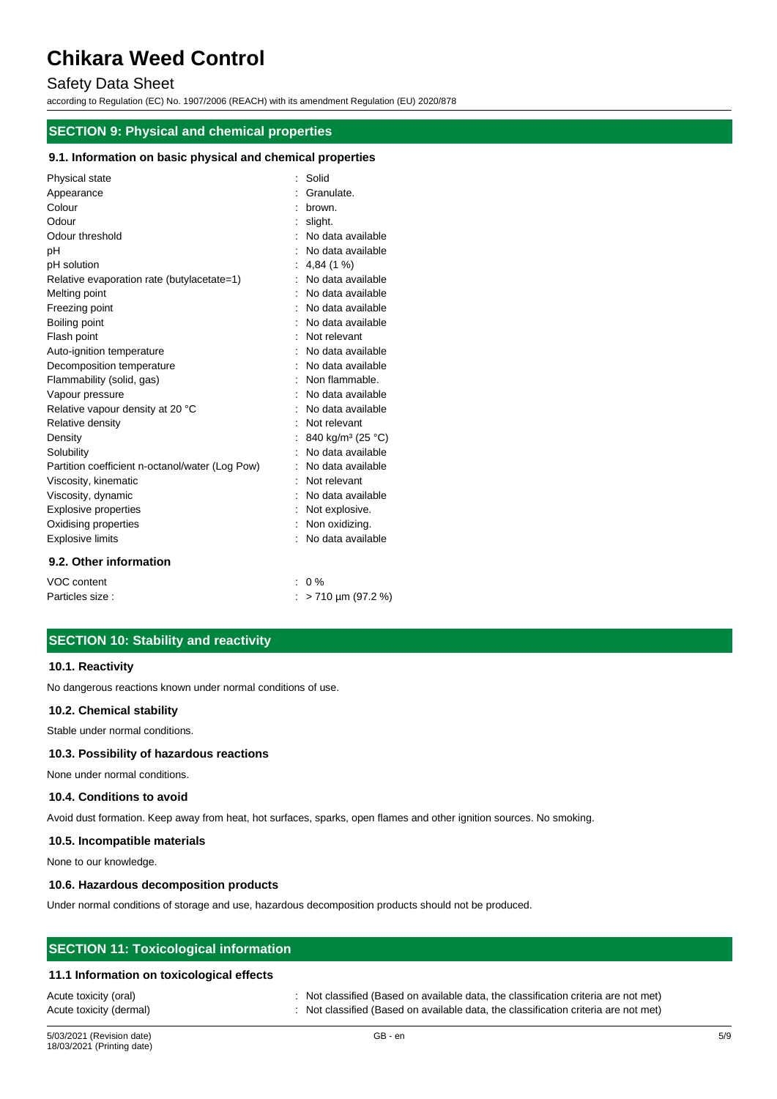# Safety Data Sheet

according to Regulation (EC) No. 1907/2006 (REACH) with its amendment Regulation (EU) 2020/878

# **SECTION 9: Physical and chemical properties**

#### **9.1. Information on basic physical and chemical properties**

| Physical state                                  | : Solid                       |
|-------------------------------------------------|-------------------------------|
| Appearance                                      | Granulate.                    |
| Colour                                          | brown.                        |
| Odour                                           | slight.                       |
| Odour threshold                                 | No data available             |
| рH                                              | No data available             |
| pH solution                                     | 4,84(1%                       |
| Relative evaporation rate (butylacetate=1)      | No data available             |
| Melting point                                   | No data available             |
| Freezing point                                  | No data available             |
| Boiling point                                   | : No data available           |
| Flash point                                     | Not relevant                  |
| Auto-ignition temperature                       | No data available             |
| Decomposition temperature                       | No data available             |
| Flammability (solid, gas)                       | Non flammable.                |
| Vapour pressure                                 | No data available             |
| Relative vapour density at 20 °C                | No data available             |
| Relative density                                | Not relevant                  |
| Density                                         | 840 kg/m <sup>3</sup> (25 °C) |
| Solubility                                      | No data available             |
| Partition coefficient n-octanol/water (Log Pow) | No data available             |
| Viscosity, kinematic                            | Not relevant                  |
| Viscosity, dynamic                              | No data available             |
| <b>Explosive properties</b>                     | Not explosive.                |
| Oxidising properties                            | Non oxidizing.                |
| <b>Explosive limits</b>                         | No data available             |
| 9.2. Other information                          |                               |
| VOC content                                     | $: 0\%$                       |

Particles size :  $\frac{1}{2}$  > 710 µm (97.2 %)

# **SECTION 10: Stability and reactivity**

#### **10.1. Reactivity**

No dangerous reactions known under normal conditions of use.

#### **10.2. Chemical stability**

Stable under normal conditions.

#### **10.3. Possibility of hazardous reactions**

None under normal conditions.

#### **10.4. Conditions to avoid**

Avoid dust formation. Keep away from heat, hot surfaces, sparks, open flames and other ignition sources. No smoking.

#### **10.5. Incompatible materials**

None to our knowledge.

#### **10.6. Hazardous decomposition products**

Under normal conditions of storage and use, hazardous decomposition products should not be produced.

### **SECTION 11: Toxicological information**

#### **11.1 Information on toxicological effects**

Acute toxicity (oral) : Not classified (Based on available data, the classification criteria are not met) Acute toxicity (dermal) : Not classified (Based on available data, the classification criteria are not met)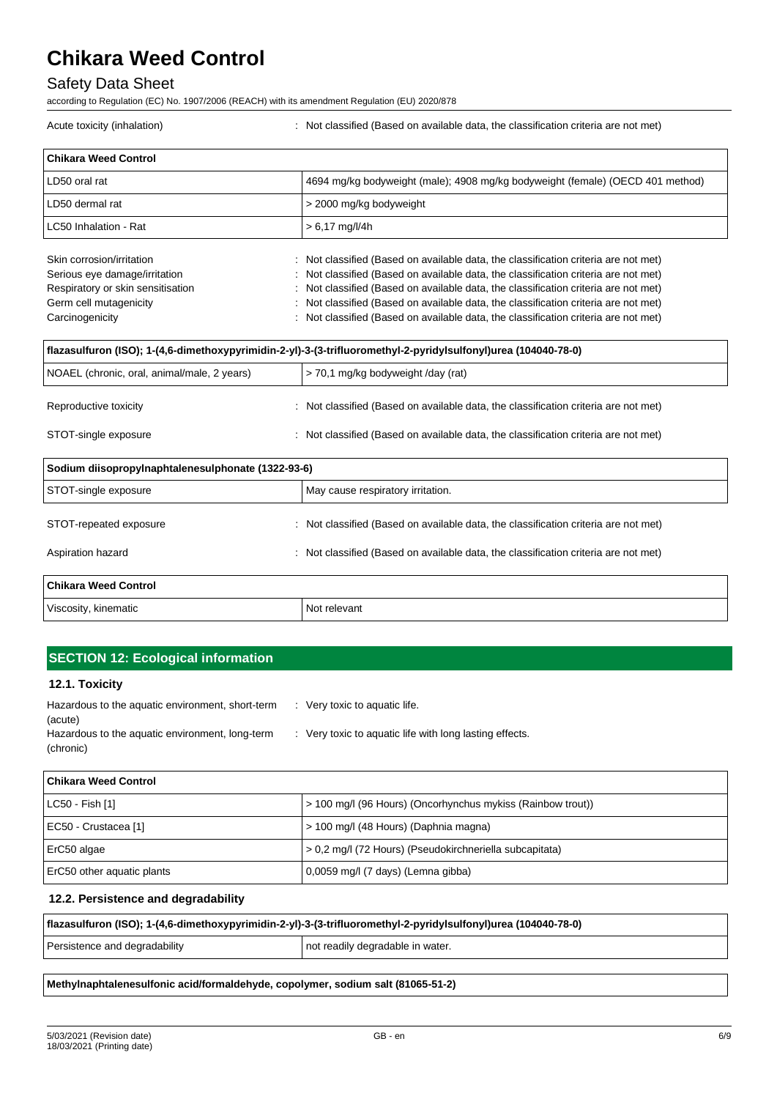# Safety Data Sheet

according to Regulation (EC) No. 1907/2006 (REACH) with its amendment Regulation (EU) 2020/878

| <b>Chikara Weed Control</b>                        |                                                                                                                |  |
|----------------------------------------------------|----------------------------------------------------------------------------------------------------------------|--|
| LD50 oral rat                                      | 4694 mg/kg bodyweight (male); 4908 mg/kg bodyweight (female) (OECD 401 method)                                 |  |
| LD50 dermal rat                                    | > 2000 mg/kg bodyweight                                                                                        |  |
| LC50 Inhalation - Rat                              | $> 6,17$ mg/l/4h                                                                                               |  |
| Skin corrosion/irritation                          | Not classified (Based on available data, the classification criteria are not met)                              |  |
| Serious eye damage/irritation                      | Not classified (Based on available data, the classification criteria are not met)                              |  |
| Respiratory or skin sensitisation                  | Not classified (Based on available data, the classification criteria are not met)                              |  |
| Germ cell mutagenicity                             | Not classified (Based on available data, the classification criteria are not met)                              |  |
| Carcinogenicity                                    | Not classified (Based on available data, the classification criteria are not met)                              |  |
|                                                    | flazasulfuron (ISO); 1-(4,6-dimethoxypyrimidin-2-yl)-3-(3-trifluoromethyl-2-pyridylsulfonyl)urea (104040-78-0) |  |
| NOAEL (chronic, oral, animal/male, 2 years)        | > 70,1 mg/kg bodyweight /day (rat)                                                                             |  |
| Reproductive toxicity                              | Not classified (Based on available data, the classification criteria are not met)                              |  |
| STOT-single exposure                               | : Not classified (Based on available data, the classification criteria are not met)                            |  |
| Sodium diisopropylnaphtalenesulphonate (1322-93-6) |                                                                                                                |  |
| STOT-single exposure                               | May cause respiratory irritation.                                                                              |  |
| STOT-repeated exposure                             | Not classified (Based on available data, the classification criteria are not met)                              |  |
| Aspiration hazard                                  | Not classified (Based on available data, the classification criteria are not met)                              |  |
| <b>Chikara Weed Control</b>                        |                                                                                                                |  |
| Viscosity, kinematic                               | Not relevant                                                                                                   |  |

Acute toxicity (inhalation) : Not classified (Based on available data, the classification criteria are not met)

# **SECTION 12: Ecological information**

#### **12.1. Toxicity**

| Hazardous to the aquatic environment, short-term | $\therefore$ Very toxic to aquatic life.                |
|--------------------------------------------------|---------------------------------------------------------|
| (acute)                                          |                                                         |
| Hazardous to the aquatic environment, long-term  | : Very toxic to aquatic life with long lasting effects. |
| (chronic)                                        |                                                         |

| l Chikara Weed Control     |                                                             |
|----------------------------|-------------------------------------------------------------|
| $LC50 - Fish [1]$          | > 100 mg/l (96 Hours) (Oncorhynchus mykiss (Rainbow trout)) |
| EC50 - Crustacea [1]       | > 100 mg/l (48 Hours) (Daphnia magna)                       |
| ErC50 algae                | > 0,2 mg/l (72 Hours) (Pseudokirchneriella subcapitata)     |
| ErC50 other aquatic plants | 0,0059 mg/l (7 days) (Lemna gibba)                          |

### **12.2. Persistence and degradability**

| flazasulfuron (ISO); 1-(4,6-dimethoxypyrimidin-2-yl)-3-(3-trifluoromethyl-2-pyridylsulfonyl)urea (104040-78-0) |                                  |  |
|----------------------------------------------------------------------------------------------------------------|----------------------------------|--|
| Persistence and degradability                                                                                  | not readily degradable in water. |  |
|                                                                                                                |                                  |  |

**Methylnaphtalenesulfonic acid/formaldehyde, copolymer, sodium salt (81065-51-2)**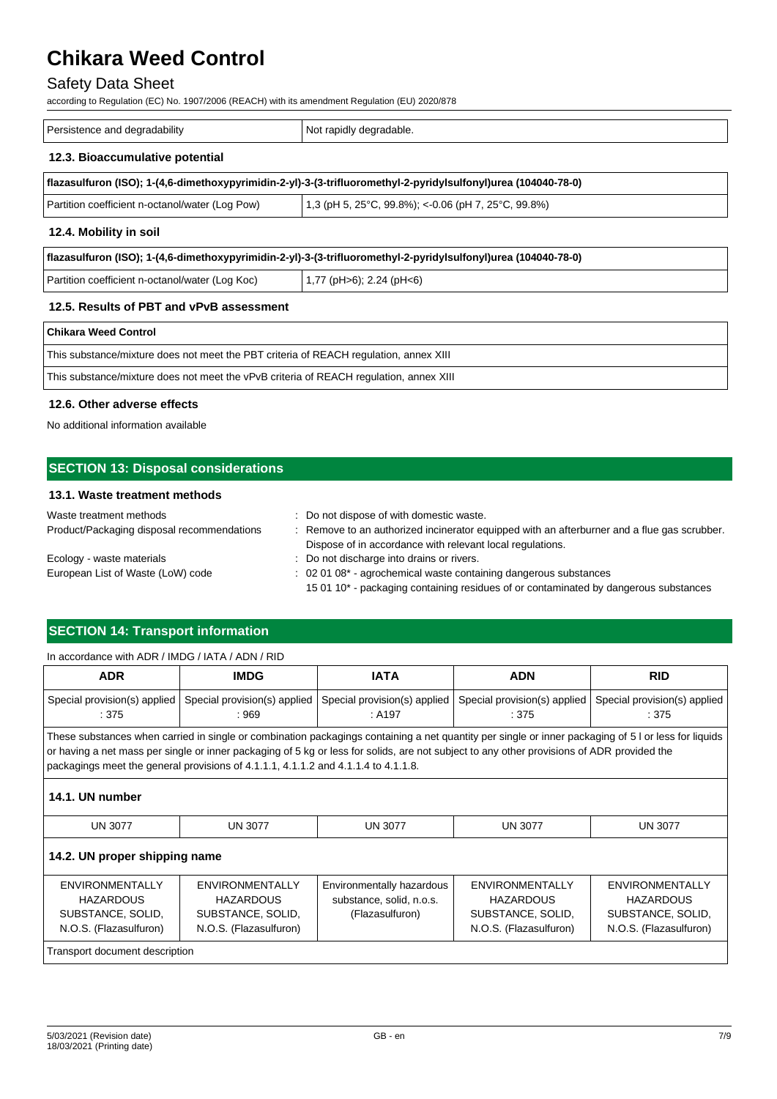# Safety Data Sheet

according to Regulation (EC) No. 1907/2006 (REACH) with its amendment Regulation (EU) 2020/878

| Persistence and degradability<br>Not rapidly degradable.                                                       |  |  |
|----------------------------------------------------------------------------------------------------------------|--|--|
| 12.3. Bioaccumulative potential                                                                                |  |  |
| flazasulfuron (ISO); 1-(4,6-dimethoxypyrimidin-2-yl)-3-(3-trifluoromethyl-2-pyridylsulfonyl)urea (104040-78-0) |  |  |

| Partition coefficient n-octanol/water (Log Pow) | 1,3 (pH 5, 25°C, 99.8%); <- 0.06 (pH 7, 25°C, 99.8%) |
|-------------------------------------------------|------------------------------------------------------|
|                                                 |                                                      |

#### **12.4. Mobility in soil**

| flazasulfuron (ISO); 1-(4,6-dimethoxypyrimidin-2-yl)-3-(3-trifluoromethyl-2-pyridylsulfonyl)urea (104040-78-0) |  |  |
|----------------------------------------------------------------------------------------------------------------|--|--|
| $(1,77 \text{ (pH>6)}; 2.24 \text{ (pH<6)}$<br>Partition coefficient n-octanol/water (Log Koc)                 |  |  |
|                                                                                                                |  |  |

### **12.5. Results of PBT and vPvB assessment**

#### **Chikara Weed Control**

| This substance/mixture does not meet the PBT criteria of REACH regulation, annex XIII  |
|----------------------------------------------------------------------------------------|
| This substance/mixture does not meet the vPvB criteria of REACH regulation, annex XIII |

#### **12.6. Other adverse effects**

No additional information available

# **SECTION 13: Disposal considerations**

## **13.1. Waste treatment methods**

| Waste treatment methods                    | : Do not dispose of with domestic waste.                                                    |  |
|--------------------------------------------|---------------------------------------------------------------------------------------------|--|
| Product/Packaging disposal recommendations | : Remove to an authorized incinerator equipped with an afterburner and a flue gas scrubber. |  |
|                                            | Dispose of in accordance with relevant local regulations.                                   |  |
| Ecology - waste materials                  | : Do not discharge into drains or rivers.                                                   |  |
| European List of Waste (LoW) code          | $\therefore$ 02 01 08 <sup>*</sup> - agrochemical waste containing dangerous substances     |  |
|                                            | 15 01 10* - packaging containing residues of or contaminated by dangerous substances        |  |

# **SECTION 14: Transport information**

#### In accordance with ADR / IMDG / IATA / ADN / RID

| <b>ADR</b>                                                                         | <b>IMDG</b>                                                                                                                                                                                                                                                                                                                                                                              | <b>IATA</b>                                                              | <b>ADN</b>                                                                                | <b>RID</b>                                                                                |
|------------------------------------------------------------------------------------|------------------------------------------------------------------------------------------------------------------------------------------------------------------------------------------------------------------------------------------------------------------------------------------------------------------------------------------------------------------------------------------|--------------------------------------------------------------------------|-------------------------------------------------------------------------------------------|-------------------------------------------------------------------------------------------|
| Special provision(s) applied<br>$\therefore$ 375                                   | Special provision(s) applied<br>: 969                                                                                                                                                                                                                                                                                                                                                    | Special provision(s) applied<br>: A197                                   | Special provision(s) applied<br>:375                                                      | Special provision(s) applied<br>:375                                                      |
|                                                                                    | These substances when carried in single or combination packagings containing a net quantity per single or inner packaging of 5 l or less for liquids<br>or having a net mass per single or inner packaging of 5 kg or less for solids, are not subject to any other provisions of ADR provided the<br>packagings meet the general provisions of 4.1.1.1, 4.1.1.2 and 4.1.1.4 to 4.1.1.8. |                                                                          |                                                                                           |                                                                                           |
| 14.1. UN number                                                                    |                                                                                                                                                                                                                                                                                                                                                                                          |                                                                          |                                                                                           |                                                                                           |
| <b>UN 3077</b>                                                                     | <b>UN 3077</b>                                                                                                                                                                                                                                                                                                                                                                           | <b>UN 3077</b>                                                           | <b>UN 3077</b>                                                                            | <b>UN 3077</b>                                                                            |
| 14.2. UN proper shipping name                                                      |                                                                                                                                                                                                                                                                                                                                                                                          |                                                                          |                                                                                           |                                                                                           |
| ENVIRONMENTALLY<br><b>HAZARDOUS</b><br>SUBSTANCE, SOLID,<br>N.O.S. (Flazasulfuron) | <b>ENVIRONMENTALLY</b><br><b>HAZARDOUS</b><br>SUBSTANCE, SOLID,<br>N.O.S. (Flazasulfuron)                                                                                                                                                                                                                                                                                                | Environmentally hazardous<br>substance, solid, n.o.s.<br>(Flazasulfuron) | <b>ENVIRONMENTALLY</b><br><b>HAZARDOUS</b><br>SUBSTANCE, SOLID.<br>N.O.S. (Flazasulfuron) | <b>ENVIRONMENTALLY</b><br><b>HAZARDOUS</b><br>SUBSTANCE, SOLID,<br>N.O.S. (Flazasulfuron) |
| Transport document description                                                     |                                                                                                                                                                                                                                                                                                                                                                                          |                                                                          |                                                                                           |                                                                                           |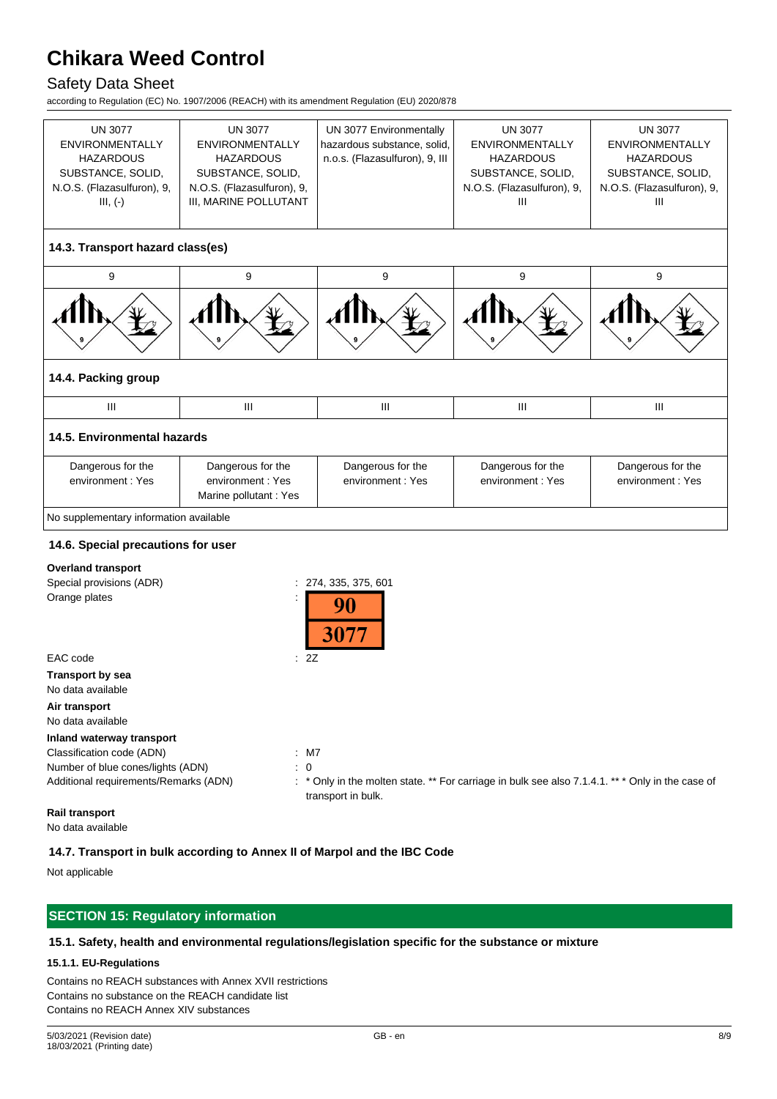# Safety Data Sheet

according to Regulation (EC) No. 1907/2006 (REACH) with its amendment Regulation (EU) 2020/878

| <b>UN 3077</b><br><b>ENVIRONMENTALLY</b><br><b>HAZARDOUS</b><br>SUBSTANCE, SOLID,<br>N.O.S. (Flazasulfuron), 9,<br>$III, (-)$ | <b>UN 3077</b><br><b>ENVIRONMENTALLY</b><br><b>HAZARDOUS</b><br>SUBSTANCE, SOLID,<br>N.O.S. (Flazasulfuron), 9,<br>III, MARINE POLLUTANT | UN 3077 Environmentally<br>hazardous substance, solid,<br>n.o.s. (Flazasulfuron), 9, III | <b>UN 3077</b><br><b>ENVIRONMENTALLY</b><br><b>HAZARDOUS</b><br>SUBSTANCE, SOLID,<br>N.O.S. (Flazasulfuron), 9,<br>III | <b>UN 3077</b><br><b>ENVIRONMENTALLY</b><br><b>HAZARDOUS</b><br>SUBSTANCE, SOLID,<br>N.O.S. (Flazasulfuron), 9,<br>III |
|-------------------------------------------------------------------------------------------------------------------------------|------------------------------------------------------------------------------------------------------------------------------------------|------------------------------------------------------------------------------------------|------------------------------------------------------------------------------------------------------------------------|------------------------------------------------------------------------------------------------------------------------|
|                                                                                                                               |                                                                                                                                          |                                                                                          |                                                                                                                        |                                                                                                                        |
| 14.3. Transport hazard class(es)                                                                                              |                                                                                                                                          |                                                                                          |                                                                                                                        |                                                                                                                        |
| 9                                                                                                                             | 9                                                                                                                                        | 9                                                                                        | 9                                                                                                                      | 9                                                                                                                      |
|                                                                                                                               |                                                                                                                                          |                                                                                          |                                                                                                                        |                                                                                                                        |
| 14.4. Packing group                                                                                                           |                                                                                                                                          |                                                                                          |                                                                                                                        |                                                                                                                        |
| III                                                                                                                           | Ш                                                                                                                                        | III                                                                                      | Ш                                                                                                                      | III                                                                                                                    |
| 14.5. Environmental hazards                                                                                                   |                                                                                                                                          |                                                                                          |                                                                                                                        |                                                                                                                        |
| Dangerous for the<br>environment: Yes                                                                                         | Dangerous for the<br>environment: Yes<br>Marine pollutant : Yes                                                                          | Dangerous for the<br>environment: Yes                                                    | Dangerous for the<br>environment: Yes                                                                                  | Dangerous for the<br>environment: Yes                                                                                  |
| No supplementary information available                                                                                        |                                                                                                                                          |                                                                                          |                                                                                                                        |                                                                                                                        |
|                                                                                                                               |                                                                                                                                          |                                                                                          |                                                                                                                        |                                                                                                                        |
| 14.6. Special precautions for user                                                                                            |                                                                                                                                          |                                                                                          |                                                                                                                        |                                                                                                                        |
| <b>Overland transport</b>                                                                                                     |                                                                                                                                          |                                                                                          |                                                                                                                        |                                                                                                                        |
| Special provisions (ADR)                                                                                                      |                                                                                                                                          | 274, 335, 375, 601                                                                       |                                                                                                                        |                                                                                                                        |
| Orange plates                                                                                                                 | $\ddot{\phantom{a}}$                                                                                                                     | 90<br>3077                                                                               |                                                                                                                        |                                                                                                                        |
| EAC code                                                                                                                      | : 2Z                                                                                                                                     |                                                                                          |                                                                                                                        |                                                                                                                        |
| Transport by sea<br>No data available                                                                                         |                                                                                                                                          |                                                                                          |                                                                                                                        |                                                                                                                        |
| Air transport<br>No data available                                                                                            |                                                                                                                                          |                                                                                          |                                                                                                                        |                                                                                                                        |
| Inland waterway transport                                                                                                     |                                                                                                                                          |                                                                                          |                                                                                                                        |                                                                                                                        |
| Classification code (ADN)                                                                                                     | $:$ M7                                                                                                                                   |                                                                                          |                                                                                                                        |                                                                                                                        |
| Number of blue cones/lights (ADN)                                                                                             | $\colon 0$                                                                                                                               |                                                                                          |                                                                                                                        |                                                                                                                        |

Additional requirements/Remarks (ADN) : \* Only in the molten state. \*\* For carriage in bulk see also 7.1.4.1. \*\* \* Only in the case of transport in bulk.

**Rail transport**

No data available

## **14.7. Transport in bulk according to Annex II of Marpol and the IBC Code**

Not applicable

# **SECTION 15: Regulatory information**

#### **15.1. Safety, health and environmental regulations/legislation specific for the substance or mixture**

# **15.1.1. EU-Regulations**

Contains no REACH substances with Annex XVII restrictions Contains no substance on the REACH candidate list Contains no REACH Annex XIV substances